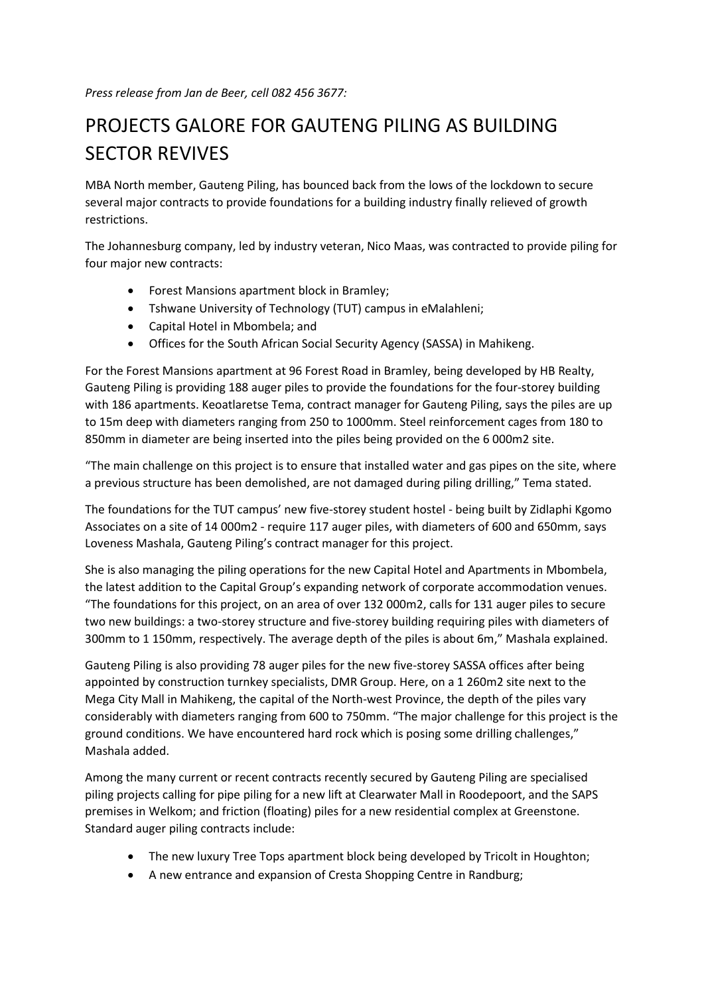## PROJECTS GALORE FOR GAUTENG PILING AS BUILDING SECTOR REVIVES

MBA North member, Gauteng Piling, has bounced back from the lows of the lockdown to secure several major contracts to provide foundations for a building industry finally relieved of growth restrictions.

The Johannesburg company, led by industry veteran, Nico Maas, was contracted to provide piling for four major new contracts:

- Forest Mansions apartment block in Bramley;
- Tshwane University of Technology (TUT) campus in eMalahleni;
- Capital Hotel in Mbombela; and
- Offices for the South African Social Security Agency (SASSA) in Mahikeng.

For the Forest Mansions apartment at 96 Forest Road in Bramley, being developed by HB Realty, Gauteng Piling is providing 188 auger piles to provide the foundations for the four-storey building with 186 apartments. Keoatlaretse Tema, contract manager for Gauteng Piling, says the piles are up to 15m deep with diameters ranging from 250 to 1000mm. Steel reinforcement cages from 180 to 850mm in diameter are being inserted into the piles being provided on the 6 000m2 site.

"The main challenge on this project is to ensure that installed water and gas pipes on the site, where a previous structure has been demolished, are not damaged during piling drilling," Tema stated.

The foundations for the TUT campus' new five-storey student hostel - being built by Zidlaphi Kgomo Associates on a site of 14 000m2 - require 117 auger piles, with diameters of 600 and 650mm, says Loveness Mashala, Gauteng Piling's contract manager for this project.

She is also managing the piling operations for the new Capital Hotel and Apartments in Mbombela, the latest addition to the Capital Group's expanding network of corporate accommodation venues. "The foundations for this project, on an area of over 132 000m2, calls for 131 auger piles to secure two new buildings: a two-storey structure and five-storey building requiring piles with diameters of 300mm to 1 150mm, respectively. The average depth of the piles is about 6m," Mashala explained.

Gauteng Piling is also providing 78 auger piles for the new five-storey SASSA offices after being appointed by construction turnkey specialists, DMR Group. Here, on a 1 260m2 site next to the Mega City Mall in Mahikeng, the capital of the North-west Province, the depth of the piles vary considerably with diameters ranging from 600 to 750mm. "The major challenge for this project is the ground conditions. We have encountered hard rock which is posing some drilling challenges," Mashala added.

Among the many current or recent contracts recently secured by Gauteng Piling are specialised piling projects calling for pipe piling for a new lift at Clearwater Mall in Roodepoort, and the SAPS premises in Welkom; and friction (floating) piles for a new residential complex at Greenstone. Standard auger piling contracts include:

- The new luxury Tree Tops apartment block being developed by Tricolt in Houghton;
- A new entrance and expansion of Cresta Shopping Centre in Randburg;